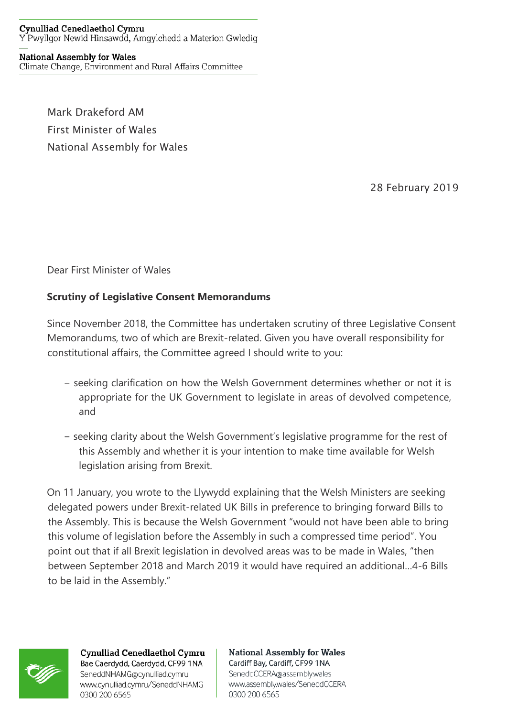## **Cynulliad Cenedlaethol Cymru** Y Pwyllgor Newid Hinsawdd, Amgylchedd a Materion Gwledig

## **National Assembly for Wales**

Climate Change, Environment and Rural Affairs Committee

Mark Drakeford AM First Minister of Wales National Assembly for Wales

28 February 2019

Dear First Minister of Wales

## **Scrutiny of Legislative Consent Memorandums**

Since November 2018, the Committee has undertaken scrutiny of three Legislative Consent Memorandums, two of which are Brexit-related. Given you have overall responsibility for constitutional affairs, the Committee agreed I should write to you:

- − seeking clarification on how the Welsh Government determines whether or not it is appropriate for the UK Government to legislate in areas of devolved competence, and
- − seeking clarity about the Welsh Government's legislative programme for the rest of this Assembly and whether it is your intention to make time available for Welsh legislation arising from Brexit.

On 11 January, you wrote to the Llywydd explaining that the Welsh Ministers are seeking delegated powers under Brexit-related UK Bills in preference to bringing forward Bills to the Assembly. This is because the Welsh Government "would not have been able to bring this volume of legislation before the Assembly in such a compressed time period". You point out that if all Brexit legislation in devolved areas was to be made in Wales, "then between September 2018 and March 2019 it would have required an additional…4-6 Bills to be laid in the Assembly."



**Cynulliad Cenedlaethol Cymru** Bae Caerdydd, Caerdydd, CF99 1NA SeneddNHAMG@cynulliad.cymru www.cynulliad.cymru/SeneddNHAMG 0300 200 6565

**National Assembly for Wales** Cardiff Bay, Cardiff, CF99 1NA SeneddCCERA@assembly.wales www.assembly.wales/SeneddCCERA 0300 200 6565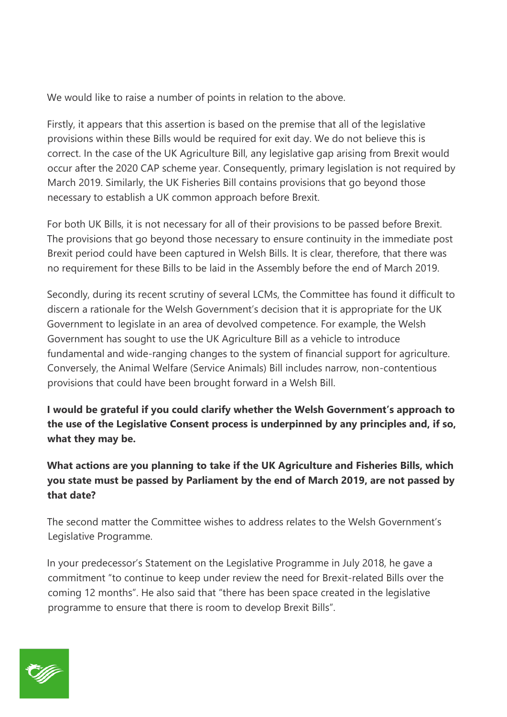We would like to raise a number of points in relation to the above.

Firstly, it appears that this assertion is based on the premise that all of the legislative provisions within these Bills would be required for exit day. We do not believe this is correct. In the case of the UK Agriculture Bill, any legislative gap arising from Brexit would occur after the 2020 CAP scheme year. Consequently, primary legislation is not required by March 2019. Similarly, the UK Fisheries Bill contains provisions that go beyond those necessary to establish a UK common approach before Brexit.

For both UK Bills, it is not necessary for all of their provisions to be passed before Brexit. The provisions that go beyond those necessary to ensure continuity in the immediate post Brexit period could have been captured in Welsh Bills. It is clear, therefore, that there was no requirement for these Bills to be laid in the Assembly before the end of March 2019.

Secondly, during its recent scrutiny of several LCMs, the Committee has found it difficult to discern a rationale for the Welsh Government's decision that it is appropriate for the UK Government to legislate in an area of devolved competence. For example, the Welsh Government has sought to use the UK Agriculture Bill as a vehicle to introduce fundamental and wide-ranging changes to the system of financial support for agriculture. Conversely, the Animal Welfare (Service Animals) Bill includes narrow, non-contentious provisions that could have been brought forward in a Welsh Bill.

**I would be grateful if you could clarify whether the Welsh Government's approach to the use of the Legislative Consent process is underpinned by any principles and, if so, what they may be.** 

**What actions are you planning to take if the UK Agriculture and Fisheries Bills, which you state must be passed by Parliament by the end of March 2019, are not passed by that date?** 

The second matter the Committee wishes to address relates to the Welsh Government's Legislative Programme.

In your predecessor's Statement on the Legislative Programme in July 2018, he gave a commitment "to continue to keep under review the need for Brexit-related Bills over the coming 12 months". He also said that "there has been space created in the legislative programme to ensure that there is room to develop Brexit Bills".